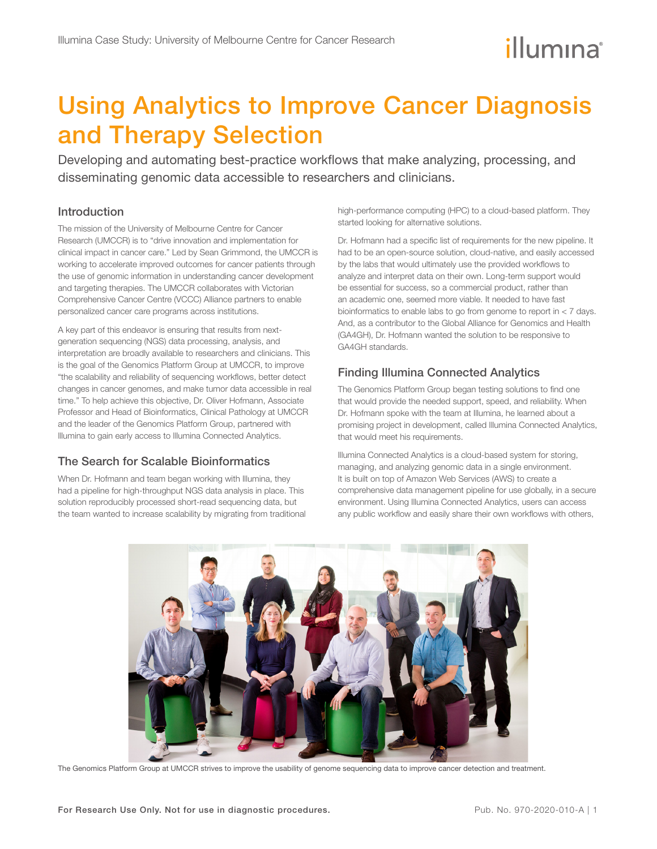# Using Analytics to Improve Cancer Diagnosis and Therapy Selection

Developing and automating best-practice workflows that make analyzing, processing, and disseminating genomic data accessible to researchers and clinicians.

## Introduction

The mission of the University of Melbourne Centre for Cancer Research (UMCCR) is to "drive innovation and implementation for clinical impact in cancer care." Led by Sean Grimmond, the UMCCR is working to accelerate improved outcomes for cancer patients through the use of genomic information in understanding cancer development and targeting therapies. The UMCCR collaborates with Victorian Comprehensive Cancer Centre (VCCC) Alliance partners to enable personalized cancer care programs across institutions.

A key part of this endeavor is ensuring that results from nextgeneration sequencing (NGS) data processing, analysis, and interpretation are broadly available to researchers and clinicians. This is the goal of the Genomics Platform Group at UMCCR, to improve "the scalability and reliability of sequencing workflows, better detect changes in cancer genomes, and make tumor data accessible in real time." To help achieve this objective, Dr. Oliver Hofmann, Associate Professor and Head of Bioinformatics, Clinical Pathology at UMCCR and the leader of the Genomics Platform Group, partnered with Illumina to gain early access to Illumina Connected Analytics.

# The Search for Scalable Bioinformatics

When Dr. Hofmann and team began working with Illumina, they had a pipeline for high-throughput NGS data analysis in place. This solution reproducibly processed short-read sequencing data, but the team wanted to increase scalability by migrating from traditional high-performance computing (HPC) to a cloud-based platform. They started looking for alternative solutions.

Dr. Hofmann had a specific list of requirements for the new pipeline. It had to be an open-source solution, cloud-native, and easily accessed by the labs that would ultimately use the provided workflows to analyze and interpret data on their own. Long-term support would be essential for success, so a commercial product, rather than an academic one, seemed more viable. It needed to have fast bioinformatics to enable labs to go from genome to report in  $<$  7 days. And, as a contributor to the Global Alliance for Genomics and Health (GA4GH), Dr. Hofmann wanted the solution to be responsive to GA4GH standards.

# Finding Illumina Connected Analytics

The Genomics Platform Group began testing solutions to find one that would provide the needed support, speed, and reliability. When Dr. Hofmann spoke with the team at Illumina, he learned about a promising project in development, called Illumina Connected Analytics, that would meet his requirements.

Illumina Connected Analytics is a cloud-based system for storing, managing, and analyzing genomic data in a single environment. It is built on top of Amazon Web Services (AWS) to create a comprehensive data management pipeline for use globally, in a secure environment. Using Illumina Connected Analytics, users can access any public workflow and easily share their own workflows with others,



The Genomics Platform Group at UMCCR strives to improve the usability of genome sequencing data to improve cancer detection and treatment.